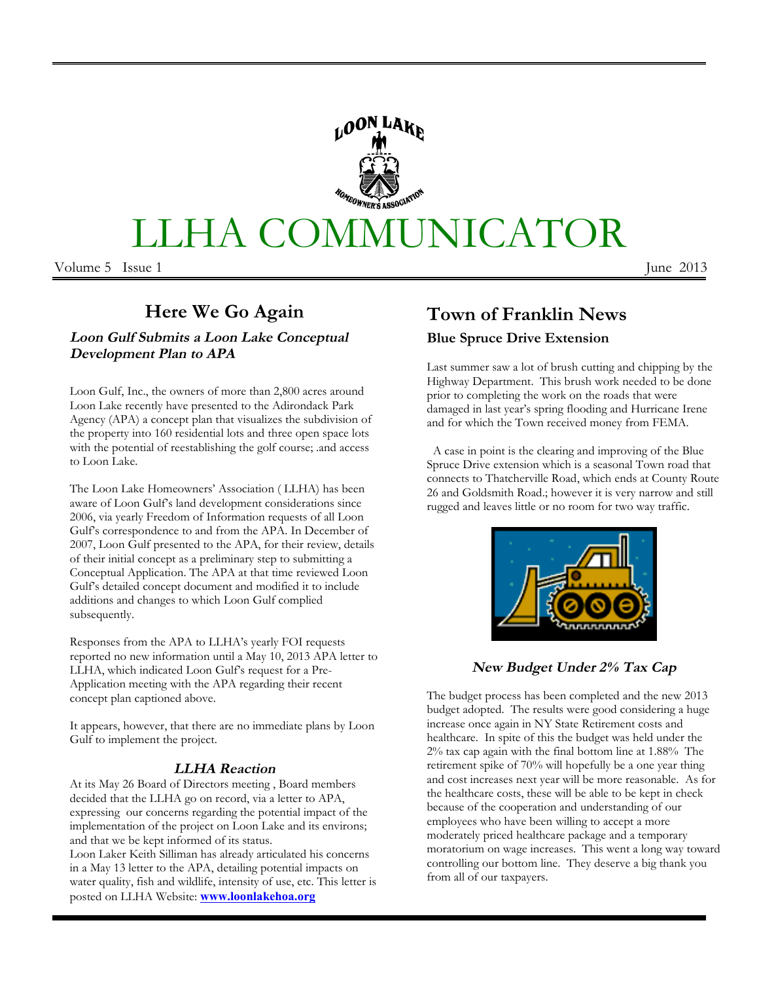# IUNICATOR LLHA COMM

Volume 5 Issue 1

June 2013

# Here We Go Again

Loon Gulf Submits a Loon Lake Conceptual **Development Plan to APA** 

Loon Gulf, Inc., the owners of more than 2,800 acres around Loon Lake recently have presented to the Adirondack Park Agency (APA) a concept plan that visualizes the subdivision of the property into 160 residential lots and three open space lots with the potential of reestablishing the golf course; and access to Loon Lake.

The Loon Lake Homeowners' Association (LLHA) has been aware of Loon Gulf's land development considerations since 2006, via yearly Freedom of Information requests of all Loon Gulf's correspondence to and from the APA. In December of 2007, Loon Gulf presented to the APA, for their review, details of their initial concept as a preliminary step to submitting a Conceptual Application. The APA at that time reviewed Loon Gulf's detailed concept document and modified it to include additions and changes to which Loon Gulf complied subsequently.

Responses from the APA to LLHA's yearly FOI requests reported no new information until a May 10, 2013 APA letter to LLHA, which indicated Loon Gulf's request for a Pre-Application meeting with the APA regarding their recent concept plan captioned above.

It appears, however, that there are no immediate plans by Loon Gulf to implement the project.

#### **LLHA** Reaction

At its May 26 Board of Directors meeting, Board members decided that the LLHA go on record, via a letter to APA, expressing our concerns regarding the potential impact of the implementation of the project on Loon Lake and its environs; and that we be kept informed of its status.

Loon Laker Keith Silliman has already articulated his concerns in a May 13 letter to the APA, detailing potential impacts on water quality, fish and wildlife, intensity of use, etc. This letter is posted on LLHA Website: **www.loonlakehoa.org** 

# **Town of Franklin News Blue Spruce Drive Extension**

Last summer saw a lot of brush cutting and chipping by the Highway Department. This brush work needed to be done prior to completing the work on the roads that were damaged in last year's spring flooding and Hurricane Irene and for which the Town received money from FEMA.

A case in point is the clearing and improving of the Blue Spruce Drive extension which is a seasonal Town road that connects to Thatcherville Road, which ends at County Route 26 and Goldsmith Road .; however it is very narrow and still rugged and leaves little or no room for two way traffic.



**New Budget Under 2% Tax Cap** 

The budget process has been completed and the new 2013 budget adopted. The results were good considering a huge increase once again in NY State Retirement costs and healthcare. In spite of this the budget was held under the 2% tax cap again with the final bottom line at 1.88% The retirement spike of 70% will hopefully be a one year thing and cost increases next year will be more reasonable. As for the healthcare costs, these will be able to be kept in check because of the cooperation and understanding of our employees who have been willing to accept a more moderately priced healthcare package and a temporary moratorium on wage increases. This went a long way toward controlling our bottom line. They deserve a big thank you from all of our taxpayers.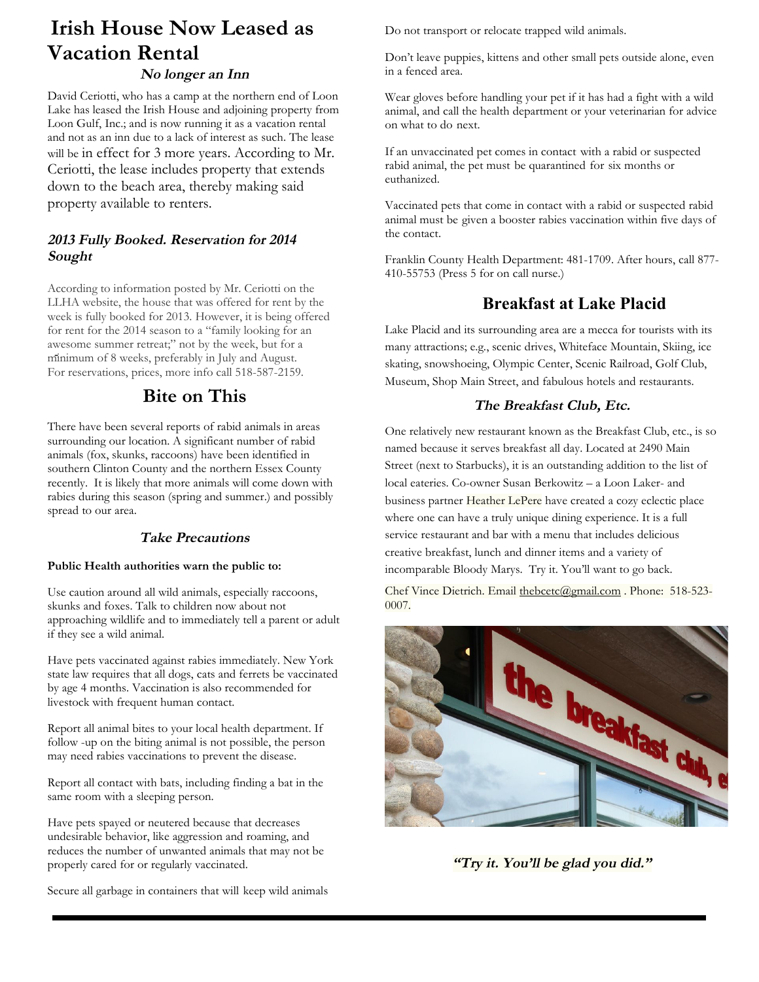# **Irish House Now Leased as Vacation Rental**

#### No longer an Inn

David Ceriotti, who has a camp at the northern end of Loon Lake has leased the Irish House and adjoining property from Loon Gulf, Inc.; and is now running it as a vacation rental and not as an inn due to a lack of interest as such. The lease will be in effect for 3 more years. According to Mr. Ceriotti, the lease includes property that extends down to the beach area, thereby making said property available to renters.

#### 2013 Fully Booked. Reservation for 2014 Sought

According to information posted by Mr. Ceriotti on the LLHA website, the house that was offered for rent by the week is fully booked for 2013. However, it is being offered for rent for the 2014 season to a "family looking for an awesome summer retreat;" not by the week, but for a minimum of 8 weeks, preferably in July and August. For reservations, prices, more info call 518-587-2159.

## **Bite on This**

There have been several reports of rabid animals in areas surrounding our location. A significant number of rabid animals (fox, skunks, raccoons) have been identified in southern Clinton County and the northern Essex County recently. It is likely that more animals will come down with rabies during this season (spring and summer.) and possibly spread to our area.

#### **Take Precautions**

#### Public Health authorities warn the public to:

Use caution around all wild animals, especially raccoons, skunks and foxes. Talk to children now about not approaching wildlife and to immediately tell a parent or adult if they see a wild animal.

Have pets vaccinated against rabies immediately. New York state law requires that all dogs, cats and ferrets be vaccinated by age 4 months. Vaccination is also recommended for livestock with frequent human contact.

Report all animal bites to your local health department. If follow -up on the biting animal is not possible, the person may need rabies vaccinations to prevent the disease.

Report all contact with bats, including finding a bat in the same room with a sleeping person.

Have pets spayed or neutered because that decreases undesirable behavior, like aggression and roaming, and reduces the number of unwanted animals that may not be properly cared for or regularly vaccinated.

Secure all garbage in containers that will keep wild animals

Do not transport or relocate trapped wild animals.

Don't leave puppies, kittens and other small pets outside alone, even in a fenced area.

Wear gloves before handling your pet if it has had a fight with a wild animal, and call the health department or your veterinarian for advice on what to do next.

If an unvaccinated pet comes in contact with a rabid or suspected rabid animal, the pet must be quarantined for six months or euthanized.

Vaccinated pets that come in contact with a rabid or suspected rabid animal must be given a booster rabies vaccination within five days of the contact.

Franklin County Health Department: 481-1709. After hours, call 877-410-55753 (Press 5 for on call nurse.)

## **Breakfast at Lake Placid**

Lake Placid and its surrounding area are a mecca for tourists with its many attractions; e.g., scenic drives, Whiteface Mountain, Skiing, ice skating, snowshoeing, Olympic Center, Scenic Railroad, Golf Club, Museum, Shop Main Street, and fabulous hotels and restaurants.

#### The Breakfast Club, Etc.

One relatively new restaurant known as the Breakfast Club, etc., is so named because it serves breakfast all day. Located at 2490 Main Street (next to Starbucks), it is an outstanding addition to the list of local eateries. Co-owner Susan Berkowitz - a Loon Laker- and business partner Heather LePere have created a cozy eclectic place where one can have a truly unique dining experience. It is a full service restaurant and bar with a menu that includes delicious creative breakfast, lunch and dinner items and a variety of incomparable Bloody Marys. Try it. You'll want to go back.

Chef Vince Dietrich. Email the bcetc@gmail.com. Phone: 518-523-0007.



"Try it. You'll be glad you did."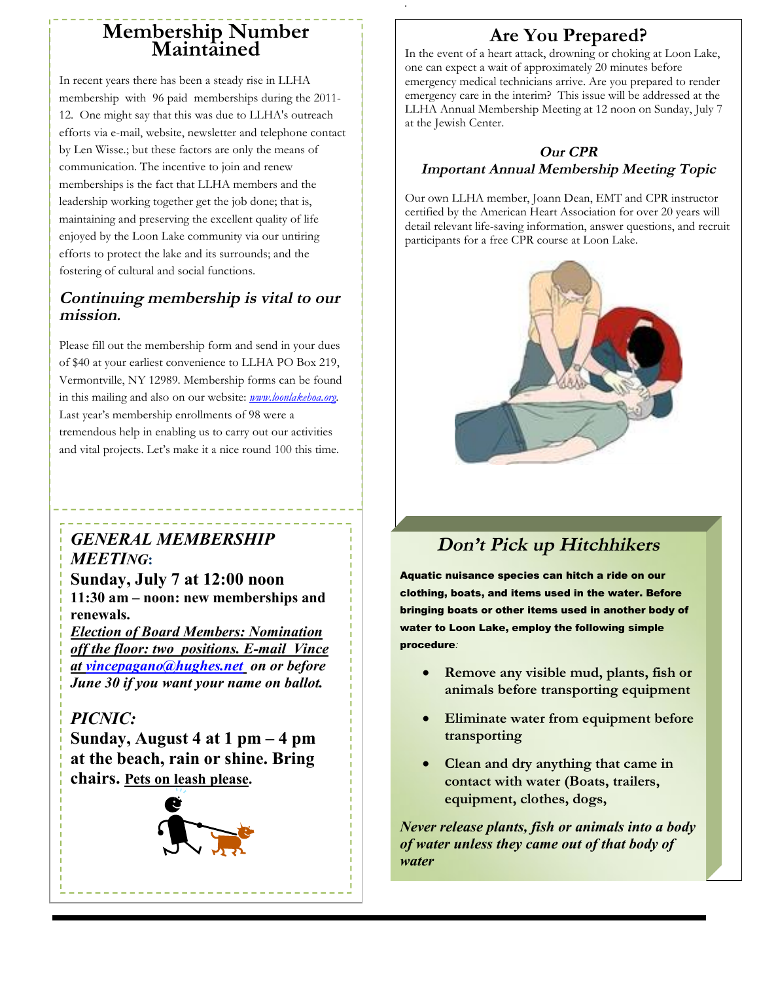# Membership Number<br>Maintained

In recent years there has been a steady rise in LLHA membership with 96 paid memberships during the 2011-12. One might say that this was due to LLHA's outreach efforts via e-mail, website, newsletter and telephone contact by Len Wisse .; but these factors are only the means of communication. The incentive to join and renew memberships is the fact that LLHA members and the leadership working together get the job done; that is, maintaining and preserving the excellent quality of life enjoyed by the Loon Lake community via our untiring efforts to protect the lake and its surrounds; and the fostering of cultural and social functions.

#### Continuing membership is vital to our mission.

Please fill out the membership form and send in your dues of \$40 at your earliest convenience to LLHA PO Box 219, Vermontville, NY 12989. Membership forms can be found in this mailing and also on our website: *pppy.loonlakehoa.org*. Last year's membership enrollments of 98 were a tremendous help in enabling us to carry out our activities and vital projects. Let's make it a nice round 100 this time.

# **GENERAL MEMBERSHIP MEETING:**

Sunday, July 7 at 12:00 noon 11:30 am – noon: new memberships and renewals.

**Election of Board Members: Nomination** off the floor: two positions. E-mail Vince at vincepagano@hughes.net on or before June 30 if you want your name on ballot.

## PICNIC:

Sunday, August 4 at 1 pm  $-4$  pm at the beach, rain or shine. Bring chairs. Pets on leash please.



# **Are You Prepared?**

In the event of a heart attack, drowning or choking at Loon Lake, one can expect a wait of approximately 20 minutes before emergency medical technicians arrive. Are you prepared to render emergency care in the interim? This issue will be addressed at the LLHA Annual Membership Meeting at 12 noon on Sunday, July 7 at the Jewish Center.

#### **Our CPR Important Annual Membership Meeting Topic**

Our own LLHA member, Joann Dean, EMT and CPR instructor certified by the American Heart Association for over 20 years will detail relevant life-saving information, answer questions, and recruit participants for a free CPR course at Loon Lake.



# Don't Pick up Hitchhikers

Aquatic nuisance species can hitch a ride on our clothing, boats, and items used in the water. Before bringing boats or other items used in another body of water to Loon Lake, employ the following simple procedure:

- Remove any visible mud, plants, fish or animals before transporting equipment
- Eliminate water from equipment before transporting
- Clean and dry anything that came in contact with water (Boats, trailers, equipment, clothes, dogs,

Never release plants, fish or animals into a body of water unless they came out of that body of water